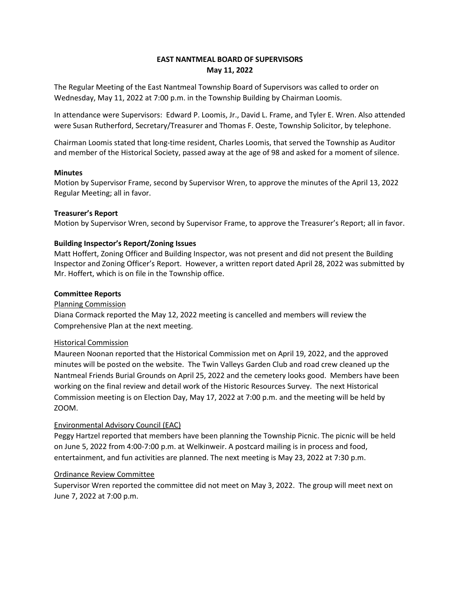# **EAST NANTMEAL BOARD OF SUPERVISORS May 11, 2022**

The Regular Meeting of the East Nantmeal Township Board of Supervisors was called to order on Wednesday, May 11, 2022 at 7:00 p.m. in the Township Building by Chairman Loomis.

In attendance were Supervisors:Edward P. Loomis, Jr., David L. Frame, and Tyler E. Wren. Also attended were Susan Rutherford, Secretary/Treasurer and Thomas F. Oeste, Township Solicitor, by telephone.

Chairman Loomis stated that long-time resident, Charles Loomis, that served the Township as Auditor and member of the Historical Society, passed away at the age of 98 and asked for a moment of silence.

# **Minutes**

Motion by Supervisor Frame, second by Supervisor Wren, to approve the minutes of the April 13, 2022 Regular Meeting; all in favor.

# **Treasurer's Report**

Motion by Supervisor Wren, second by Supervisor Frame, to approve the Treasurer's Report; all in favor.

# **Building Inspector's Report/Zoning Issues**

Matt Hoffert, Zoning Officer and Building Inspector, was not present and did not present the Building Inspector and Zoning Officer's Report. However, a written report dated April 28, 2022 was submitted by Mr. Hoffert, which is on file in the Township office.

# **Committee Reports**

#### Planning Commission

Diana Cormack reported the May 12, 2022 meeting is cancelled and members will review the Comprehensive Plan at the next meeting.

#### Historical Commission

Maureen Noonan reported that the Historical Commission met on April 19, 2022, and the approved minutes will be posted on the website. The Twin Valleys Garden Club and road crew cleaned up the Nantmeal Friends Burial Grounds on April 25, 2022 and the cemetery looks good. Members have been working on the final review and detail work of the Historic Resources Survey. The next Historical Commission meeting is on Election Day, May 17, 2022 at 7:00 p.m. and the meeting will be held by ZOOM.

# Environmental Advisory Council (EAC)

Peggy Hartzel reported that members have been planning the Township Picnic. The picnic will be held on June 5, 2022 from 4:00-7:00 p.m. at Welkinweir. A postcard mailing is in process and food, entertainment, and fun activities are planned. The next meeting is May 23, 2022 at 7:30 p.m.

#### Ordinance Review Committee

Supervisor Wren reported the committee did not meet on May 3, 2022. The group will meet next on June 7, 2022 at 7:00 p.m.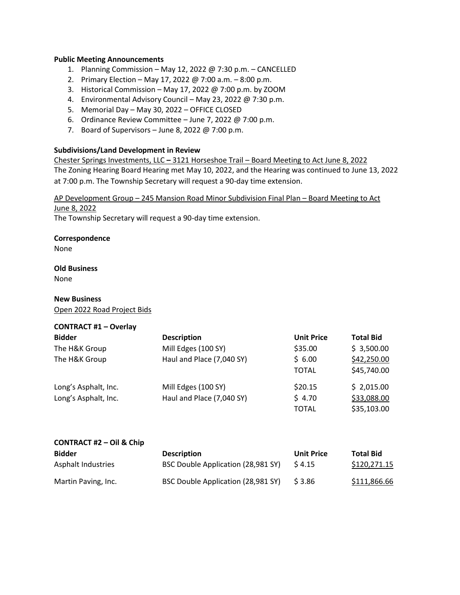# **Public Meeting Announcements**

- 1. Planning Commission May 12, 2022 @ 7:30 p.m. CANCELLED
- 2. Primary Election May 17, 2022 @ 7:00 a.m. 8:00 p.m.
- 3. Historical Commission May 17, 2022 @ 7:00 p.m. by ZOOM
- 4. Environmental Advisory Council May 23, 2022 @ 7:30 p.m.
- 5. Memorial Day May 30, 2022 OFFICE CLOSED
- 6. Ordinance Review Committee June 7, 2022 @ 7:00 p.m.
- 7. Board of Supervisors June 8, 2022 @ 7:00 p.m.

# **Subdivisions/Land Development in Review**

Chester Springs Investments, LLC **–** 3121 Horseshoe Trail – Board Meeting to Act June 8, 2022 The Zoning Hearing Board Hearing met May 10, 2022, and the Hearing was continued to June 13, 2022 at 7:00 p.m. The Township Secretary will request a 90-day time extension.

AP Development Group – 245 Mansion Road Minor Subdivision Final Plan – Board Meeting to Act June 8, 2022

The Township Secretary will request a 90-day time extension.

# **Correspondence**

None

# **Old Business**

None

# **New Business**

Open 2022 Road Project Bids

# **CONTRACT #1 – Overlay**

| <b>Bidder</b>        | <b>Description</b>        | <b>Unit Price</b> | <b>Total Bid</b> |
|----------------------|---------------------------|-------------------|------------------|
| The H&K Group        | Mill Edges (100 SY)       | \$35.00           | \$3,500.00       |
| The H&K Group        | Haul and Place (7,040 SY) | \$6.00            | \$42,250.00      |
|                      |                           | <b>TOTAL</b>      | \$45,740.00      |
| Long's Asphalt, Inc. | Mill Edges (100 SY)       | \$20.15           | \$2,015.00       |
| Long's Asphalt, Inc. | Haul and Place (7,040 SY) | \$4.70            | \$33,088.00      |
|                      |                           | <b>TOTAL</b>      | \$35,103.00      |

#### **CONTRACT #2 – Oil & Chip**

| <b>Bidder</b>       | <b>Description</b>                 | <b>Unit Price</b> | <b>Total Bid</b> |
|---------------------|------------------------------------|-------------------|------------------|
| Asphalt Industries  | BSC Double Application (28,981 SY) | S 4.15            | \$120,271.15     |
| Martin Paving, Inc. | BSC Double Application (28,981 SY) | S 3.86            | \$111,866.66     |